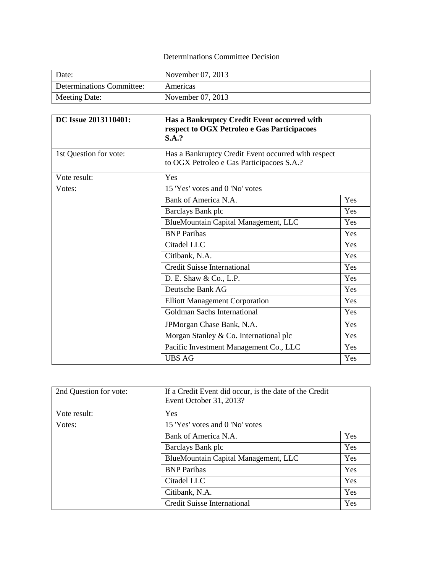## Determinations Committee Decision

| Date:                     | November 07, 2013 |
|---------------------------|-------------------|
| Determinations Committee: | Americas          |
| Meeting Date:             | November 07, 2013 |

| DC Issue 2013110401:   | Has a Bankruptcy Credit Event occurred with<br>respect to OGX Petroleo e Gas Participacoes<br>S.A.? |     |
|------------------------|-----------------------------------------------------------------------------------------------------|-----|
| 1st Question for vote: | Has a Bankruptcy Credit Event occurred with respect<br>to OGX Petroleo e Gas Participacoes S.A.?    |     |
| Vote result:           | Yes                                                                                                 |     |
| Votes:                 | 15 'Yes' votes and 0 'No' votes                                                                     |     |
|                        | Bank of America N.A.                                                                                | Yes |
|                        | Barclays Bank plc                                                                                   | Yes |
|                        | BlueMountain Capital Management, LLC                                                                | Yes |
|                        | <b>BNP</b> Paribas                                                                                  | Yes |
|                        | Citadel LLC                                                                                         | Yes |
|                        | Citibank, N.A.                                                                                      | Yes |
|                        | <b>Credit Suisse International</b>                                                                  | Yes |
|                        | D. E. Shaw & Co., L.P.                                                                              | Yes |
|                        | Deutsche Bank AG                                                                                    | Yes |
|                        | <b>Elliott Management Corporation</b>                                                               | Yes |
|                        | Goldman Sachs International                                                                         | Yes |
|                        | JPMorgan Chase Bank, N.A.                                                                           | Yes |
|                        | Morgan Stanley & Co. International plc                                                              | Yes |
|                        | Pacific Investment Management Co., LLC                                                              | Yes |
|                        | <b>UBS AG</b>                                                                                       | Yes |

| 2nd Question for vote: | If a Credit Event did occur, is the date of the Credit<br>Event October 31, 2013? |     |
|------------------------|-----------------------------------------------------------------------------------|-----|
| Vote result:           | Yes                                                                               |     |
| Votes:                 | 15 'Yes' votes and 0 'No' votes                                                   |     |
|                        | Bank of America N.A.                                                              | Yes |
|                        | Barclays Bank plc                                                                 | Yes |
|                        | BlueMountain Capital Management, LLC                                              | Yes |
|                        | <b>BNP</b> Paribas                                                                | Yes |
|                        | Citadel LLC                                                                       | Yes |
|                        | Citibank, N.A.                                                                    | Yes |
|                        | <b>Credit Suisse International</b>                                                | Yes |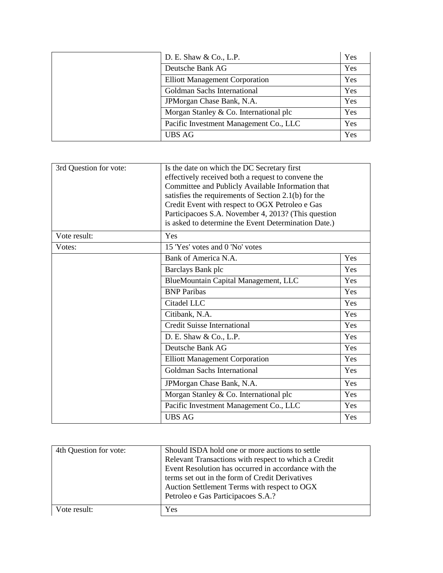| D. E. Shaw $& Co., L.P.$               | Yes |
|----------------------------------------|-----|
| Deutsche Bank AG                       | Yes |
| <b>Elliott Management Corporation</b>  | Yes |
| Goldman Sachs International            | Yes |
| JPMorgan Chase Bank, N.A.              | Yes |
| Morgan Stanley & Co. International plc | Yes |
| Pacific Investment Management Co., LLC | Yes |
| <b>UBS AG</b>                          | Yes |

| 3rd Question for vote: | Is the date on which the DC Secretary first<br>effectively received both a request to convene the<br>Committee and Publicly Available Information that<br>satisfies the requirements of Section 2.1(b) for the<br>Credit Event with respect to OGX Petroleo e Gas<br>Participacoes S.A. November 4, 2013? (This question<br>is asked to determine the Event Determination Date.) |     |
|------------------------|----------------------------------------------------------------------------------------------------------------------------------------------------------------------------------------------------------------------------------------------------------------------------------------------------------------------------------------------------------------------------------|-----|
| Vote result:           | Yes                                                                                                                                                                                                                                                                                                                                                                              |     |
| Votes:                 | 15 'Yes' votes and 0 'No' votes                                                                                                                                                                                                                                                                                                                                                  |     |
|                        | Bank of America N.A.                                                                                                                                                                                                                                                                                                                                                             | Yes |
|                        | Barclays Bank plc                                                                                                                                                                                                                                                                                                                                                                | Yes |
|                        | BlueMountain Capital Management, LLC                                                                                                                                                                                                                                                                                                                                             | Yes |
|                        | <b>BNP</b> Paribas                                                                                                                                                                                                                                                                                                                                                               | Yes |
|                        | Citadel LLC                                                                                                                                                                                                                                                                                                                                                                      | Yes |
|                        | Citibank, N.A.                                                                                                                                                                                                                                                                                                                                                                   | Yes |
|                        | <b>Credit Suisse International</b>                                                                                                                                                                                                                                                                                                                                               | Yes |
|                        | D. E. Shaw & Co., L.P.                                                                                                                                                                                                                                                                                                                                                           | Yes |
|                        | Deutsche Bank AG                                                                                                                                                                                                                                                                                                                                                                 | Yes |
|                        | <b>Elliott Management Corporation</b>                                                                                                                                                                                                                                                                                                                                            | Yes |
|                        | Goldman Sachs International                                                                                                                                                                                                                                                                                                                                                      | Yes |
|                        | JPMorgan Chase Bank, N.A.                                                                                                                                                                                                                                                                                                                                                        | Yes |
|                        | Morgan Stanley & Co. International plc                                                                                                                                                                                                                                                                                                                                           | Yes |
|                        | Pacific Investment Management Co., LLC                                                                                                                                                                                                                                                                                                                                           | Yes |
|                        | <b>UBS AG</b>                                                                                                                                                                                                                                                                                                                                                                    | Yes |

| 4th Question for vote: | Should ISDA hold one or more auctions to settle      |
|------------------------|------------------------------------------------------|
|                        | Relevant Transactions with respect to which a Credit |
|                        | Event Resolution has occurred in accordance with the |
|                        | terms set out in the form of Credit Derivatives      |
|                        | Auction Settlement Terms with respect to OGX         |
|                        | Petroleo e Gas Participacoes S.A.?                   |
| Vote result:           | Yes                                                  |